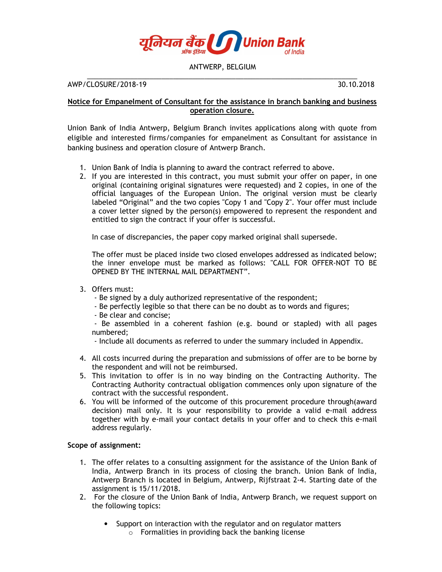

## ANTWERP, BELGIUM \_\_\_\_\_\_\_\_\_\_\_\_\_\_\_\_\_\_\_\_\_\_\_\_\_\_\_\_\_\_\_\_\_\_\_\_\_\_\_\_\_\_\_\_\_\_\_\_\_\_\_\_\_\_\_\_\_\_\_\_\_\_\_\_\_\_\_\_\_

AWP/CLOSURE/2018-19 30.10.2018

## **Notice for Empanelment of Consultant for the assistance in branch banking and business operation closure.**

Union Bank of India Antwerp, Belgium Branch invites applications along with quote from eligible and interested firms/companies for empanelment as Consultant for assistance in banking business and operation closure of Antwerp Branch.

- 1. Union Bank of India is planning to award the contract referred to above.
- 2. If you are interested in this contract, you must submit your offer on paper, in one original (containing original signatures were requested) and 2 copies, in one of the official languages of the European Union. The original version must be clearly labeled "Original" and the two copies "Copy 1 and "Copy 2". Your offer must include a cover letter signed by the person(s) empowered to represent the respondent and entitled to sign the contract if your offer is successful.

In case of discrepancies, the paper copy marked original shall supersede.

The offer must be placed inside two closed envelopes addressed as indicated below; the inner envelope must be marked as follows: "CALL FOR OFFER-NOT TO BE OPENED BY THE INTERNAL MAIL DEPARTMENT".

- 3. Offers must:
	- Be signed by a duly authorized representative of the respondent;
	- Be perfectly legible so that there can be no doubt as to words and figures;
	- Be clear and concise;

 - Be assembled in a coherent fashion (e.g. bound or stapled) with all pages numbered;

- Include all documents as referred to under the summary included in Appendix.
- 4. All costs incurred during the preparation and submissions of offer are to be borne by the respondent and will not be reimbursed.
- 5. This invitation to offer is in no way binding on the Contracting Authority. The Contracting Authority contractual obligation commences only upon signature of the contract with the successful respondent.
- 6. You will be informed of the outcome of this procurement procedure through(award decision) mail only. It is your responsibility to provide a valid e-mail address together with by e-mail your contact details in your offer and to check this e-mail address regularly.

## **Scope of assignment:**

- 1. The offer relates to a consulting assignment for the assistance of the Union Bank of India, Antwerp Branch in its process of closing the branch. Union Bank of India, Antwerp Branch is located in Belgium, Antwerp, Rijfstraat 2-4. Starting date of the assignment is 15/11/2018.
- 2. For the closure of the Union Bank of India, Antwerp Branch, we request support on the following topics:
	- Support on interaction with the regulator and on regulator matters o Formalities in providing back the banking license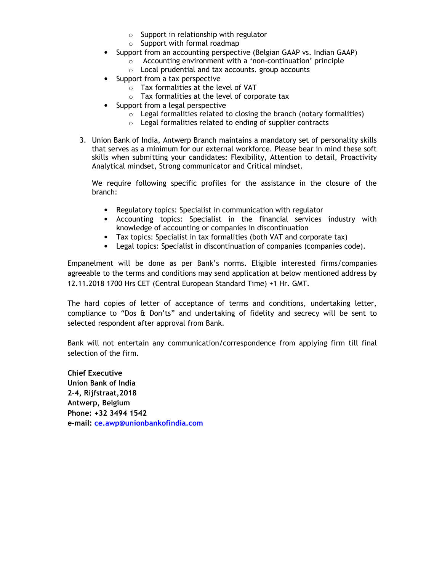- $\circ$  Support in relationship with regulator
- $\circ$  Support with formal roadmap
- Support from an accounting perspective (Belgian GAAP vs. Indian GAAP)
	- o Accounting environment with a 'non-continuation' principle
	- o Local prudential and tax accounts. group accounts
- Support from a tax perspective
	- o Tax formalities at the level of VAT
	- o Tax formalities at the level of corporate tax
- Support from a legal perspective
	- $\circ$  Legal formalities related to closing the branch (notary formalities)
	- o Legal formalities related to ending of supplier contracts
- 3. Union Bank of India, Antwerp Branch maintains a mandatory set of personality skills that serves as a minimum for our external workforce. Please bear in mind these soft skills when submitting your candidates: Flexibility, Attention to detail, Proactivity Analytical mindset, Strong communicator and Critical mindset.

We require following specific profiles for the assistance in the closure of the branch:

- Regulatory topics: Specialist in communication with regulator
- Accounting topics: Specialist in the financial services industry with knowledge of accounting or companies in discontinuation
- Tax topics: Specialist in tax formalities (both VAT and corporate tax)
- Legal topics: Specialist in discontinuation of companies (companies code).

Empanelment will be done as per Bank's norms. Eligible interested firms/companies agreeable to the terms and conditions may send application at below mentioned address by 12.11.2018 1700 Hrs CET (Central European Standard Time) +1 Hr. GMT.

The hard copies of letter of acceptance of terms and conditions, undertaking letter, compliance to "Dos & Don'ts" and undertaking of fidelity and secrecy will be sent to selected respondent after approval from Bank.

Bank will not entertain any communication/correspondence from applying firm till final selection of the firm.

**Chief Executive Union Bank of India 2-4, Rijfstraat,2018 Antwerp, Belgium Phone: +32 3494 1542 e-mail: ce.awp@unionbankofindia.com**